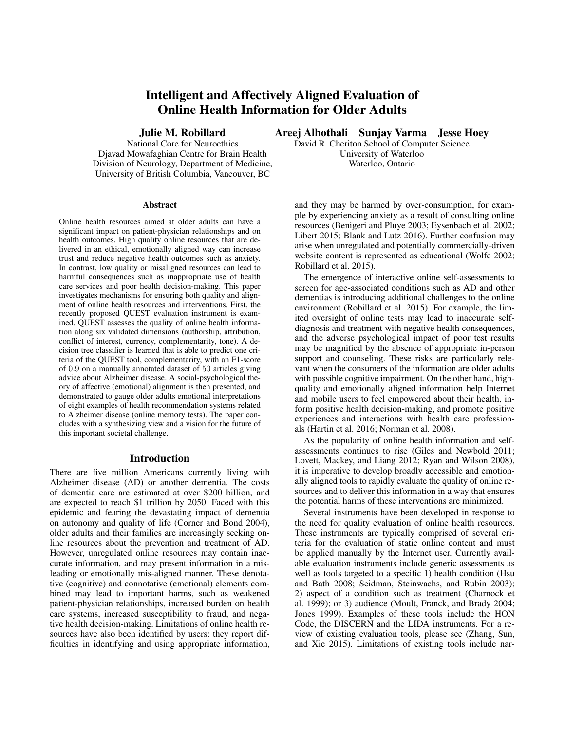# Intelligent and Affectively Aligned Evaluation of Online Health Information for Older Adults

Julie M. Robillard

National Core for Neuroethics Djavad Mowafaghian Centre for Brain Health Division of Neurology, Department of Medicine, University of British Columbia, Vancouver, BC

#### Abstract

Online health resources aimed at older adults can have a significant impact on patient-physician relationships and on health outcomes. High quality online resources that are delivered in an ethical, emotionally aligned way can increase trust and reduce negative health outcomes such as anxiety. In contrast, low quality or misaligned resources can lead to harmful consequences such as inappropriate use of health care services and poor health decision-making. This paper investigates mechanisms for ensuring both quality and alignment of online health resources and interventions. First, the recently proposed QUEST evaluation instrument is examined. QUEST assesses the quality of online health information along six validated dimensions (authorship, attribution, conflict of interest, currency, complementarity, tone). A decision tree classifier is learned that is able to predict one criteria of the QUEST tool, complementarity, with an F1-score of 0.9 on a manually annotated dataset of 50 articles giving advice about Alzheimer disease. A social-psychological theory of affective (emotional) alignment is then presented, and demonstrated to gauge older adults emotional interpretations of eight examples of health recommendation systems related to Alzheimer disease (online memory tests). The paper concludes with a synthesizing view and a vision for the future of this important societal challenge.

#### Introduction

There are five million Americans currently living with Alzheimer disease (AD) or another dementia. The costs of dementia care are estimated at over \$200 billion, and are expected to reach \$1 trillion by 2050. Faced with this epidemic and fearing the devastating impact of dementia on autonomy and quality of life (Corner and Bond 2004), older adults and their families are increasingly seeking online resources about the prevention and treatment of AD. However, unregulated online resources may contain inaccurate information, and may present information in a misleading or emotionally mis-aligned manner. These denotative (cognitive) and connotative (emotional) elements combined may lead to important harms, such as weakened patient-physician relationships, increased burden on health care systems, increased susceptibility to fraud, and negative health decision-making. Limitations of online health resources have also been identified by users: they report difficulties in identifying and using appropriate information,

Areej Alhothali Sunjay Varma Jesse Hoey

David R. Cheriton School of Computer Science University of Waterloo Waterloo, Ontario

and they may be harmed by over-consumption, for example by experiencing anxiety as a result of consulting online resources (Benigeri and Pluye 2003; Eysenbach et al. 2002; Libert 2015; Blank and Lutz 2016). Further confusion may arise when unregulated and potentially commercially-driven website content is represented as educational (Wolfe 2002; Robillard et al. 2015).

The emergence of interactive online self-assessments to screen for age-associated conditions such as AD and other dementias is introducing additional challenges to the online environment (Robillard et al. 2015). For example, the limited oversight of online tests may lead to inaccurate selfdiagnosis and treatment with negative health consequences, and the adverse psychological impact of poor test results may be magnified by the absence of appropriate in-person support and counseling. These risks are particularly relevant when the consumers of the information are older adults with possible cognitive impairment. On the other hand, highquality and emotionally aligned information help Internet and mobile users to feel empowered about their health, inform positive health decision-making, and promote positive experiences and interactions with health care professionals (Hartin et al. 2016; Norman et al. 2008).

As the popularity of online health information and selfassessments continues to rise (Giles and Newbold 2011; Lovett, Mackey, and Liang 2012; Ryan and Wilson 2008), it is imperative to develop broadly accessible and emotionally aligned tools to rapidly evaluate the quality of online resources and to deliver this information in a way that ensures the potential harms of these interventions are minimized.

Several instruments have been developed in response to the need for quality evaluation of online health resources. These instruments are typically comprised of several criteria for the evaluation of static online content and must be applied manually by the Internet user. Currently available evaluation instruments include generic assessments as well as tools targeted to a specific 1) health condition (Hsu and Bath 2008; Seidman, Steinwachs, and Rubin 2003); 2) aspect of a condition such as treatment (Charnock et al. 1999); or 3) audience (Moult, Franck, and Brady 2004; Jones 1999). Examples of these tools include the HON Code, the DISCERN and the LIDA instruments. For a review of existing evaluation tools, please see (Zhang, Sun, and Xie 2015). Limitations of existing tools include nar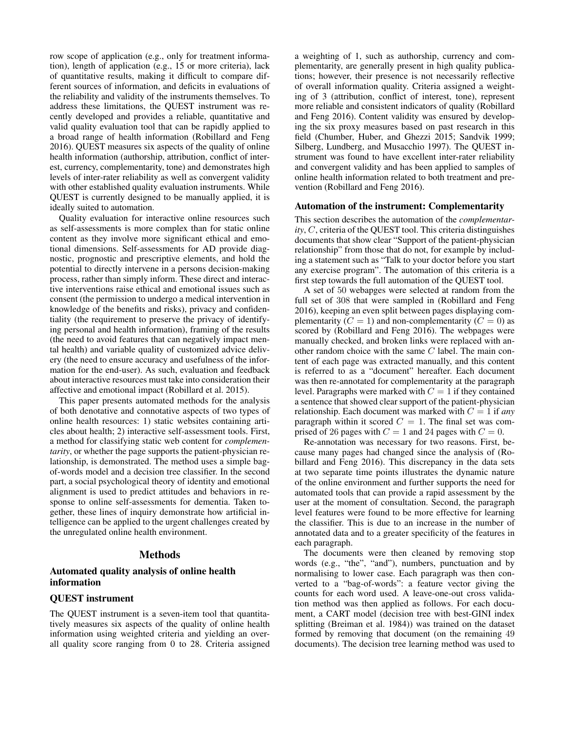row scope of application (e.g., only for treatment information), length of application (e.g., 15 or more criteria), lack of quantitative results, making it difficult to compare different sources of information, and deficits in evaluations of the reliability and validity of the instruments themselves. To address these limitations, the QUEST instrument was recently developed and provides a reliable, quantitative and valid quality evaluation tool that can be rapidly applied to a broad range of health information (Robillard and Feng 2016). QUEST measures six aspects of the quality of online health information (authorship, attribution, conflict of interest, currency, complementarity, tone) and demonstrates high levels of inter-rater reliability as well as convergent validity with other established quality evaluation instruments. While QUEST is currently designed to be manually applied, it is ideally suited to automation.

Quality evaluation for interactive online resources such as self-assessments is more complex than for static online content as they involve more significant ethical and emotional dimensions. Self-assessments for AD provide diagnostic, prognostic and prescriptive elements, and hold the potential to directly intervene in a persons decision-making process, rather than simply inform. These direct and interactive interventions raise ethical and emotional issues such as consent (the permission to undergo a medical intervention in knowledge of the benefits and risks), privacy and confidentiality (the requirement to preserve the privacy of identifying personal and health information), framing of the results (the need to avoid features that can negatively impact mental health) and variable quality of customized advice delivery (the need to ensure accuracy and usefulness of the information for the end-user). As such, evaluation and feedback about interactive resources must take into consideration their affective and emotional impact (Robillard et al. 2015).

This paper presents automated methods for the analysis of both denotative and connotative aspects of two types of online health resources: 1) static websites containing articles about health; 2) interactive self-assessment tools. First, a method for classifying static web content for *complementarity*, or whether the page supports the patient-physician relationship, is demonstrated. The method uses a simple bagof-words model and a decision tree classifier. In the second part, a social psychological theory of identity and emotional alignment is used to predict attitudes and behaviors in response to online self-assessments for dementia. Taken together, these lines of inquiry demonstrate how artificial intelligence can be applied to the urgent challenges created by the unregulated online health environment.

## Methods

## Automated quality analysis of online health information

# QUEST instrument

The QUEST instrument is a seven-item tool that quantitatively measures six aspects of the quality of online health information using weighted criteria and yielding an overall quality score ranging from 0 to 28. Criteria assigned

a weighting of 1, such as authorship, currency and complementarity, are generally present in high quality publications; however, their presence is not necessarily reflective of overall information quality. Criteria assigned a weighting of 3 (attribution, conflict of interest, tone), represent more reliable and consistent indicators of quality (Robillard and Feng 2016). Content validity was ensured by developing the six proxy measures based on past research in this field (Chumber, Huber, and Ghezzi 2015; Sandvik 1999; Silberg, Lundberg, and Musacchio 1997). The QUEST instrument was found to have excellent inter-rater reliability and convergent validity and has been applied to samples of online health information related to both treatment and prevention (Robillard and Feng 2016).

#### Automation of the instrument: Complementarity

This section describes the automation of the *complementarity*, C, criteria of the QUEST tool. This criteria distinguishes documents that show clear "Support of the patient-physician relationship" from those that do not, for example by including a statement such as "Talk to your doctor before you start any exercise program". The automation of this criteria is a first step towards the full automation of the QUEST tool.

A set of 50 webapges were selected at random from the full set of 308 that were sampled in (Robillard and Feng 2016), keeping an even split between pages displaying complementarity ( $C = 1$ ) and non-complementarity ( $C = 0$ ) as scored by (Robillard and Feng 2016). The webpages were manually checked, and broken links were replaced with another random choice with the same C label. The main content of each page was extracted manually, and this content is referred to as a "document" hereafter. Each document was then re-annotated for complementarity at the paragraph level. Paragraphs were marked with  $C = 1$  if they contained a sentence that showed clear support of the patient-physician relationship. Each document was marked with C = 1 if *any* paragraph within it scored  $C = 1$ . The final set was comprised of 26 pages with  $C = 1$  and 24 pages with  $C = 0$ .

Re-annotation was necessary for two reasons. First, because many pages had changed since the analysis of (Robillard and Feng 2016). This discrepancy in the data sets at two separate time points illustrates the dynamic nature of the online environment and further supports the need for automated tools that can provide a rapid assessment by the user at the moment of consultation. Second, the paragraph level features were found to be more effective for learning the classifier. This is due to an increase in the number of annotated data and to a greater specificity of the features in each paragraph.

The documents were then cleaned by removing stop words (e.g., "the", "and"), numbers, punctuation and by normalising to lower case. Each paragraph was then converted to a "bag-of-words": a feature vector giving the counts for each word used. A leave-one-out cross validation method was then applied as follows. For each document, a CART model (decision tree with best-GINI index splitting (Breiman et al. 1984)) was trained on the dataset formed by removing that document (on the remaining 49 documents). The decision tree learning method was used to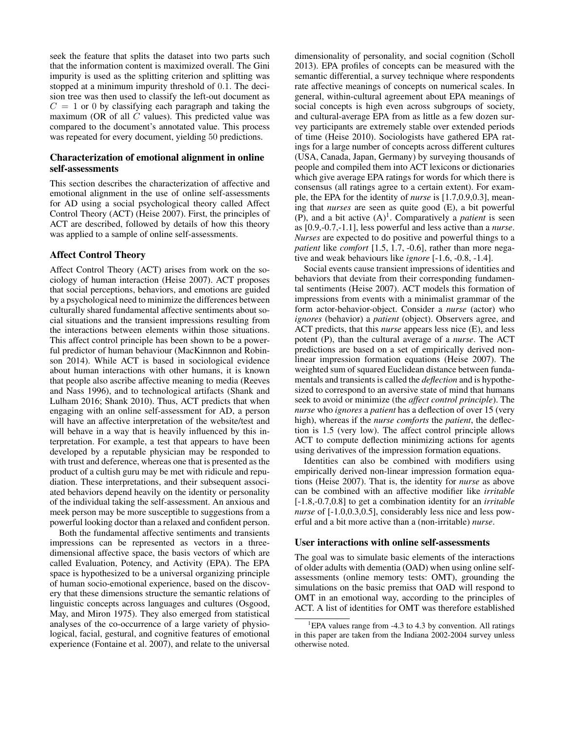seek the feature that splits the dataset into two parts such that the information content is maximized overall. The Gini impurity is used as the splitting criterion and splitting was stopped at a minimum impurity threshold of 0.1. The decision tree was then used to classify the left-out document as  $C = 1$  or 0 by classifying each paragraph and taking the maximum (OR of all  $C$  values). This predicted value was compared to the document's annotated value. This process was repeated for every document, yielding 50 predictions.

## Characterization of emotional alignment in online self-assessments

This section describes the characterization of affective and emotional alignment in the use of online self-assessments for AD using a social psychological theory called Affect Control Theory (ACT) (Heise 2007). First, the principles of ACT are described, followed by details of how this theory was applied to a sample of online self-assessments.

## Affect Control Theory

Affect Control Theory (ACT) arises from work on the sociology of human interaction (Heise 2007). ACT proposes that social perceptions, behaviors, and emotions are guided by a psychological need to minimize the differences between culturally shared fundamental affective sentiments about social situations and the transient impressions resulting from the interactions between elements within those situations. This affect control principle has been shown to be a powerful predictor of human behaviour (MacKinnnon and Robinson 2014). While ACT is based in sociological evidence about human interactions with other humans, it is known that people also ascribe affective meaning to media (Reeves and Nass 1996), and to technological artifacts (Shank and Lulham 2016; Shank 2010). Thus, ACT predicts that when engaging with an online self-assessment for AD, a person will have an affective interpretation of the website/test and will behave in a way that is heavily influenced by this interpretation. For example, a test that appears to have been developed by a reputable physician may be responded to with trust and deference, whereas one that is presented as the product of a cultish guru may be met with ridicule and repudiation. These interpretations, and their subsequent associated behaviors depend heavily on the identity or personality of the individual taking the self-assessment. An anxious and meek person may be more susceptible to suggestions from a powerful looking doctor than a relaxed and confident person.

Both the fundamental affective sentiments and transients impressions can be represented as vectors in a threedimensional affective space, the basis vectors of which are called Evaluation, Potency, and Activity (EPA). The EPA space is hypothesized to be a universal organizing principle of human socio-emotional experience, based on the discovery that these dimensions structure the semantic relations of linguistic concepts across languages and cultures (Osgood, May, and Miron 1975). They also emerged from statistical analyses of the co-occurrence of a large variety of physiological, facial, gestural, and cognitive features of emotional experience (Fontaine et al. 2007), and relate to the universal

dimensionality of personality, and social cognition (Scholl 2013). EPA profiles of concepts can be measured with the semantic differential, a survey technique where respondents rate affective meanings of concepts on numerical scales. In general, within-cultural agreement about EPA meanings of social concepts is high even across subgroups of society, and cultural-average EPA from as little as a few dozen survey participants are extremely stable over extended periods of time (Heise 2010). Sociologists have gathered EPA ratings for a large number of concepts across different cultures (USA, Canada, Japan, Germany) by surveying thousands of people and compiled them into ACT lexicons or dictionaries which give average EPA ratings for words for which there is consensus (all ratings agree to a certain extent). For example, the EPA for the identity of *nurse* is [1.7,0.9,0.3], meaning that *nurses* are seen as quite good (E), a bit powerful  $(P)$ , and a bit active  $(A)^1$ . Comparatively a *patient* is seen as [0.9,-0.7,-1.1], less powerful and less active than a *nurse*. *Nurses* are expected to do positive and powerful things to a *patient* like *comfort* [1.5, 1.7, -0.6], rather than more negative and weak behaviours like *ignore* [-1.6, -0.8, -1.4].

Social events cause transient impressions of identities and behaviors that deviate from their corresponding fundamental sentiments (Heise 2007). ACT models this formation of impressions from events with a minimalist grammar of the form actor-behavior-object. Consider a *nurse* (actor) who *ignores* (behavior) a *patient* (object). Observers agree, and ACT predicts, that this *nurse* appears less nice (E), and less potent (P), than the cultural average of a *nurse*. The ACT predictions are based on a set of empirically derived nonlinear impression formation equations (Heise 2007). The weighted sum of squared Euclidean distance between fundamentals and transients is called the *deflection* and is hypothesized to correspond to an aversive state of mind that humans seek to avoid or minimize (the *affect control principle*). The *nurse* who *ignores* a *patient* has a deflection of over 15 (very high), whereas if the *nurse comforts* the *patient*, the deflection is 1.5 (very low). The affect control principle allows ACT to compute deflection minimizing actions for agents using derivatives of the impression formation equations.

Identities can also be combined with modifiers using empirically derived non-linear impression formation equations (Heise 2007). That is, the identity for *nurse* as above can be combined with an affective modifier like *irritable* [-1.8,-0.7,0.8] to get a combination identity for an *irritable nurse* of [-1.0,0.3,0.5], considerably less nice and less powerful and a bit more active than a (non-irritable) *nurse*.

#### User interactions with online self-assessments

The goal was to simulate basic elements of the interactions of older adults with dementia (OAD) when using online selfassessments (online memory tests: OMT), grounding the simulations on the basic premiss that OAD will respond to OMT in an emotional way, according to the principles of ACT. A list of identities for OMT was therefore established

<sup>&</sup>lt;sup>1</sup>EPA values range from -4.3 to 4.3 by convention. All ratings in this paper are taken from the Indiana 2002-2004 survey unless otherwise noted.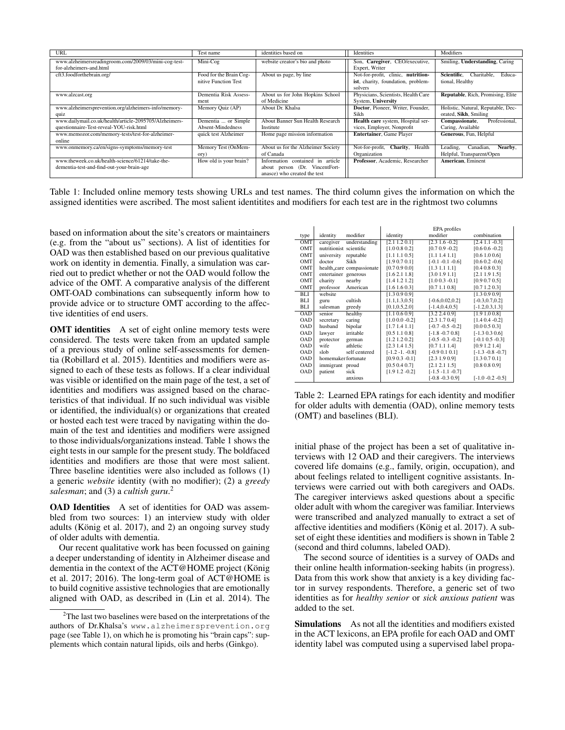| URL                                                    | Test name               | identities based on                | Identities                          | Modifiers                                |
|--------------------------------------------------------|-------------------------|------------------------------------|-------------------------------------|------------------------------------------|
| www.alzheimersreadingroom.com/2009/03/mini-cog-test-   | Mini-Cog                | website creator's bio and photo    | Son, Caregiver, CEO/executive,      | Smiling, Understanding, Caring           |
| for-alzheimers-and.html                                |                         |                                    | Expert, Writer                      |                                          |
| cft3.foodforthebrain.org/                              | Food for the Brain Cog- | About us page, by line             | Not-for-profit, clinic, nutrition-  | Scientific.<br>Charitable.<br>Educa-     |
|                                                        | nitive Function Test    |                                    | ist, charity, foundation, problem-  | tional, Healthy                          |
|                                                        |                         |                                    | solvers                             |                                          |
| www.alzcast.org                                        | Dementia Risk Assess-   | About us for John Hopkins School   | Physicians, Scientists, Health Care | <b>Reputable, Rich, Promising, Elite</b> |
|                                                        | ment                    | of Medicine                        | System, University                  |                                          |
| www.alzheimersprevention.org/alzheimers-info/memory-   | Memory Quiz (AP)        | About Dr. Khalsa                   | Doctor, Pioneer, Writer, Founder,   | Holistic, Natural, Reputable, Dec-       |
| quiz                                                   |                         |                                    | Sikh                                | orated, Sikh, Smiling                    |
| www.dailymail.co.uk/health/article-2095705/Alzheimers- | Dementia  or Simple     | About Banner Sun Health Research   | Health care system, Hospital ser-   | Professional.<br>Compassionate,          |
| questionnaire-Test-reveal-YOU-risk.html                | Absent-Mindedness       | Institute                          | vices, Employer, Nonprofit          | Caring, Available                        |
| www.memozor.com/memory-tests/test-for-alzheimer-       | quick test Alzheimer    | Home page mission information      | Entertainer, Game Player            | Generous, Fun, Helpful                   |
| online                                                 |                         |                                    |                                     |                                          |
| www.onmemory.ca/en/signs-symptoms/memory-test          | Memory Test (OnMem-     | About us for the Alzheimer Society | Not-for-profit, Charity, Health     | Leading,<br>Canadian,<br>Nearby.         |
|                                                        | ory)                    | of Canada                          | Organization                        | Helpful, Transparent/Open                |
| www.theweek.co.uk/health-science/61214/take-the-       | How old is your brain?  | Information contained in article   | Professor, Academic, Researcher     | <b>American</b> , Eminent                |
| dementia-test-and-find-out-your-brain-age              |                         | about person (Dr. VincentFort-     |                                     |                                          |
|                                                        |                         | anasce) who created the test       |                                     |                                          |

Table 1: Included online memory tests showing URLs and test names. The third column gives the information on which the assigned identities were ascribed. The most salient identitites and modifiers for each test are in the rightmost two columns

based on information about the site's creators or maintainers (e.g. from the "about us" sections). A list of identities for OAD was then established based on our previous qualitative work on identity in dementia. Finally, a simulation was carried out to predict whether or not the OAD would follow the advice of the OMT. A comparative analysis of the different OMT-OAD combinations can subsequently inform how to provide advice or to structure OMT according to the affective identities of end users.

**OMT identities** A set of eight online memory tests were considered. The tests were taken from an updated sample of a previous study of online self-assessments for dementia (Robillard et al. 2015). Identities and modifiers were assigned to each of these tests as follows. If a clear individual was visible or identified on the main page of the test, a set of identities and modifiers was assigned based on the characteristics of that individual. If no such individual was visible or identified, the individual(s) or organizations that created or hosted each test were traced by navigating within the domain of the test and identities and modifiers were assigned to those individuals/organizations instead. Table 1 shows the eight tests in our sample for the present study. The boldfaced identities and modifiers are those that were most salient. Three baseline identities were also included as follows (1) a generic *website* identity (with no modifier); (2) a *greedy salesman*; and (3) a *cultish guru*. 2

OAD Identities A set of identities for OAD was assembled from two sources: 1) an interview study with older adults (König et al.  $2017$ ), and  $2$ ) an ongoing survey study of older adults with dementia.

Our recent qualitative work has been focussed on gaining a deeper understanding of identity in Alzheimer disease and dementia in the context of the ACT@HOME project (König et al. 2017; 2016). The long-term goal of ACT@HOME is to build cognitive assistive technologies that are emotionally aligned with OAD, as described in (Lin et al. 2014). The

|            |                         |                           | EPA profiles      |                      |                       |  |  |
|------------|-------------------------|---------------------------|-------------------|----------------------|-----------------------|--|--|
| type       | identity                | modifier                  | identity          | modifier             | combination           |  |  |
| <b>OMT</b> | caregiver               | understanding             | [2.1 1.2 0.1]     | $[2.3 1.6 - 0.2]$    | $[2.4 1.1 - 0.3]$     |  |  |
| <b>OMT</b> | nutritionist scientific |                           | [1.0 0.8 0.2]     | $[0.7 0.9 - 0.2]$    | $[0.6 0.6 -0.2]$      |  |  |
| <b>OMT</b> | university              | reputable                 | [1.1 1.1 0.5]     | [1.1 1.4 1.1]        | [0.6 1.0 0.6]         |  |  |
| OMT        | doctor                  | Sikh                      | [1.9 0.7 0.1]     | $[-0.1 - 0.1 - 0.6]$ | $[0.6 0.2 -0.6]$      |  |  |
| <b>OMT</b> |                         | health_care compassionate | [0.7 0.9 0.0]     | [1.3 1.1 1.1]        | [0.4 0.8 0.3]         |  |  |
| OMT        | entertainer generous    |                           | [1.6 2.1 1.8]     | [3.0 1.9 1.1]        | [2.1 1.9 1.5]         |  |  |
| OMT        | charity                 | nearby                    | [1.4 1.2 1.2]     | $[1.0 0.3 -0.1]$     | [0.9 0.7 0.5]         |  |  |
| OMT        | professor               | American                  | [1.6 1.6 0.3]     | [0.7 1.1 0.8]        | [0.7 1.2 0.3]         |  |  |
| <b>BLI</b> | website                 |                           | [1.3 0.9 0.9]     |                      | [1.3 0.9 0.9]         |  |  |
| BLI        | guru                    | cultish                   | [1.1, 1.3, 0.5]   | $[-0.6, 0.02, 0.2]$  | $[-0.3, 0.7, 0.2]$    |  |  |
| BLI        | salesman                | greedy                    | [0.1, 0.5, 2.0]   | $[-1.4, 0.4, 0.5]$   | $[-1.2, 0.3, 1.3]$    |  |  |
| <b>OAD</b> | senior                  | healthy                   | [1.1 0.6 0.9]     | [3.2 2.4 0.9]        | [1.9 1.0 0.8]         |  |  |
| <b>OAD</b> | secretary               | caring                    | $[1.0 0.0 -0.2]$  | [2.3 1.7 0.4]        | $[1.4 0.4 -0.2]$      |  |  |
| <b>OAD</b> | husband                 | bipolar                   | [1.71.41.1]       | $[-0.7 - 0.5 - 0.2]$ | [0.0 0.5 0.3]         |  |  |
| OAD        | lawyer                  | irritable                 | [0.5 1.1 0.8]     | $[-1.8 - 0.7 0.8]$   | $[-1.3 \ 0.3 \ 0.6]$  |  |  |
| <b>OAD</b> | protector               | german                    | [1.2 1.2 0.2]     | $[-0.5 - 0.3 - 0.2]$ | $[-0.1 \ 0.5 \ -0.3]$ |  |  |
| <b>OAD</b> | wife                    | athletic                  | [2.3 1.4 1.5]     | [0.7 1.1 1.4]        | [0.9 1.2 1.4]         |  |  |
| <b>OAD</b> | slob                    | self centered             | $[-1.2 -1. -0.8]$ | $[-0.9 0.1 0.1]$     | $[-1.3 -0.8 -0.7]$    |  |  |
| <b>OAD</b> | homemaker fortunate     |                           | $[0.9 0.3 -0.1]$  | [2.3 1.9 0.9]        | [1.3 0.7 0.1]         |  |  |
| <b>OAD</b> | immigrant proud         |                           | [0.5 0.4 0.7]     | [2.1 2.1 1.5]        | [0.8 0.8 0.9]         |  |  |
| <b>OAD</b> | patient                 | sick                      | $[1.9 1.2 -0.2]$  | $[-1.5 - 1.1 - 0.7]$ |                       |  |  |
|            |                         | anxious                   |                   | $[-0.8 - 0.3 0.9]$   | $[-1.0 - 0.2 - 0.5]$  |  |  |

Table 2: Learned EPA ratings for each identity and modifier for older adults with dementia (OAD), online memory tests (OMT) and baselines (BLI).

initial phase of the project has been a set of qualitative interviews with 12 OAD and their caregivers. The interviews covered life domains (e.g., family, origin, occupation), and about feelings related to intelligent cognitive assistants. Interviews were carried out with both caregivers and OADs. The caregiver interviews asked questions about a specific older adult with whom the caregiver was familiar. Interviews were transcribed and analyzed manually to extract a set of affective identities and modifiers (König et al. 2017). A subset of eight these identities and modifiers is shown in Table 2 (second and third columns, labeled OAD).

The second source of identities is a survey of OADs and their online health information-seeking habits (in progress). Data from this work show that anxiety is a key dividing factor in survey respondents. Therefore, a generic set of two identities as for *healthy senior* or *sick anxious patient* was added to the set.

Simulations As not all the identities and modifiers existed in the ACT lexicons, an EPA profile for each OAD and OMT identity label was computed using a supervised label propa-

<sup>2</sup>The last two baselines were based on the interpretations of the authors of Dr.Khalsa's www.alzheimersprevention.org page (see Table 1), on which he is promoting his "brain caps": supplements which contain natural lipids, oils and herbs (Ginkgo).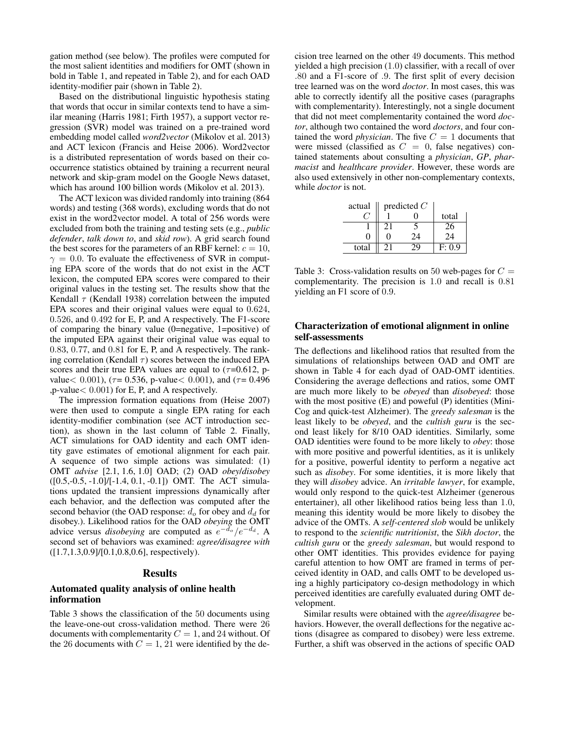gation method (see below). The profiles were computed for the most salient identities and modifiers for OMT (shown in bold in Table 1, and repeated in Table 2), and for each OAD identity-modifier pair (shown in Table 2).

Based on the distributional linguistic hypothesis stating that words that occur in similar contexts tend to have a similar meaning (Harris 1981; Firth 1957), a support vector regression (SVR) model was trained on a pre-trained word embedding model called *word2vector* (Mikolov et al. 2013) and ACT lexicon (Francis and Heise 2006). Word2vector is a distributed representation of words based on their cooccurrence statistics obtained by training a recurrent neural network and skip-gram model on the Google News dataset, which has around 100 billion words (Mikolov et al. 2013).

The ACT lexicon was divided randomly into training (864 words) and testing (368 words), excluding words that do not exist in the word2vector model. A total of 256 words were excluded from both the training and testing sets (e.g., *public defender*, *talk down to*, and *skid row*). A grid search found the best scores for the parameters of an RBF kernel:  $c = 10$ ,  $\gamma = 0.0$ . To evaluate the effectiveness of SVR in computing EPA score of the words that do not exist in the ACT lexicon, the computed EPA scores were compared to their original values in the testing set. The results show that the Kendall  $\tau$  (Kendall 1938) correlation between the imputed EPA scores and their original values were equal to 0.624, 0.526, and 0.492 for E, P, and A respectively. The F1-score of comparing the binary value (0=negative, 1=positive) of the imputed EPA against their original value was equal to 0.83, 0.77, and 0.81 for E, P, and A respectively. The ranking correlation (Kendall  $\tau$ ) scores between the induced EPA scores and their true EPA values are equal to  $(\tau=0.612, p$ value < 0.001), ( $\tau$  = 0.536, p-value < 0.001), and ( $\tau$  = 0.496 ,p-value< 0.001) for E, P, and A respectively.

The impression formation equations from (Heise 2007) were then used to compute a single EPA rating for each identity-modifier combination (see ACT introduction section), as shown in the last column of Table 2. Finally, ACT simulations for OAD identity and each OMT identity gave estimates of emotional alignment for each pair. A sequence of two simple actions was simulated: (1) OMT *advise* [2.1, 1.6, 1.0] OAD; (2) OAD *obey*/*disobey* ([0.5,-0.5, -1.0]/[-1.4, 0.1, -0.1]) OMT. The ACT simulations updated the transient impressions dynamically after each behavior, and the deflection was computed after the second behavior (the OAD response:  $d_o$  for obey and  $d_d$  for disobey.). Likelihood ratios for the OAD *obeying* the OMT advice versus *disobeying* are computed as  $e^{-d_o}/e^{-d_d}$ . A second set of behaviors was examined: *agree/disagree with* ([1.7,1.3,0.9]/[0.1,0.8,0.6], respectively).

#### Results

## Automated quality analysis of online health information

Table 3 shows the classification of the 50 documents using the leave-one-out cross-validation method. There were 26 documents with complementarity  $C = 1$ , and 24 without. Of the 26 documents with  $C = 1$ , 21 were identified by the decision tree learned on the other 49 documents. This method yielded a high precision (1.0) classifier, with a recall of over .80 and a F1-score of .9. The first split of every decision tree learned was on the word *doctor*. In most cases, this was able to correctly identify all the positive cases (paragraphs with complementarity). Interestingly, not a single document that did not meet complementarity contained the word *doctor*, although two contained the word *doctors*, and four contained the word *physician*. The five  $C = 1$  documents that were missed (classified as  $C = 0$ , false negatives) contained statements about consulting a *physician*, *GP*, *pharmacist* and *healthcare provider*. However, these words are also used extensively in other non-complementary contexts, while *doctor* is not.

| actual            | predicted $C$ |    |        |
|-------------------|---------------|----|--------|
|                   |               |    | total  |
|                   | 21            |    | 26     |
| $\mathbf{\Omega}$ |               | 24 | 24     |
| total             |               |    | F: 0.9 |

Table 3: Cross-validation results on 50 web-pages for  $C =$ complementarity. The precision is 1.0 and recall is 0.81 yielding an F1 score of 0.9.

## Characterization of emotional alignment in online self-assessments

The deflections and likelihood ratios that resulted from the simulations of relationships between OAD and OMT are shown in Table 4 for each dyad of OAD-OMT identities. Considering the average deflections and ratios, some OMT are much more likely to be *obeyed* than *disobeyed*: those with the most positive (E) and poweful (P) identities (Mini-Cog and quick-test Alzheimer). The *greedy salesman* is the least likely to be *obeyed*, and the *cultish guru* is the second least likely for 8/10 OAD identities. Similarly, some OAD identities were found to be more likely to *obey*: those with more positive and powerful identities, as it is unlikely for a positive, powerful identity to perform a negative act such as *disobey*. For some identities, it is more likely that they will *disobey* advice. An *irritable lawyer*, for example, would only respond to the quick-test Alzheimer (generous entertainer), all other likelihood ratios being less than 1.0, meaning this identity would be more likely to disobey the advice of the OMTs. A *self-centered slob* would be unlikely to respond to the *scientific nutritionist*, the *Sikh doctor*, the *cultish guru* or the *greedy salesman*, but would respond to other OMT identities. This provides evidence for paying careful attention to how OMT are framed in terms of perceived identity in OAD, and calls OMT to be developed using a highly participatory co-design methodology in which perceived identities are carefully evaluated during OMT development.

Similar results were obtained with the *agree/disagree* behaviors. However, the overall deflections for the negative actions (disagree as compared to disobey) were less extreme. Further, a shift was observed in the actions of specific OAD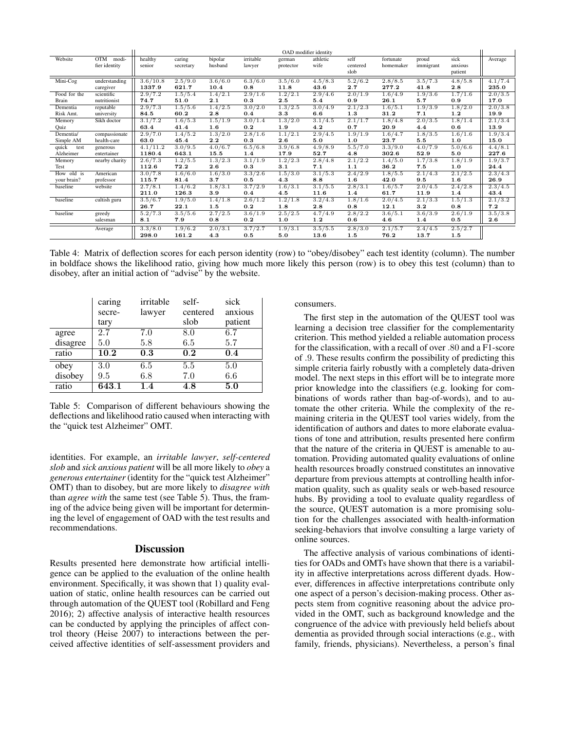|               |                     |          |           |           |           |           | OAD modifier identity |          |           |           |         |         |
|---------------|---------------------|----------|-----------|-----------|-----------|-----------|-----------------------|----------|-----------|-----------|---------|---------|
| Website       | <b>OTM</b><br>modi- | healthy  | caring    | bipolar   | irritable | german    | athletic              | self     | fortunate | proud     | sick    | Average |
|               | fier identity       | senior   | secretary | husband   | lawyer    | protector | wife                  | centered | homemaker | immigrant | anxious |         |
|               |                     |          |           |           |           |           |                       | slob     |           |           | patient |         |
| Mini-Cog      | understanding       | 3.6/10.8 | 2.5/9.0   | 3.6/6.0   | 6.3/6.0   | 3.5/6.0   | 4.5/8.3               | 5.2/6.2  | 2.8/8.5   | 3.5/7.3   | 4.8/5.8 | 4.1/7.4 |
|               | caregiver           | 1337.9   | 621.7     | 10.4      | 0.8       | 11.8      | 43.6                  | 2.7      | 277.2     | 41.8      | 2.8     | 235.0   |
| Food for the  | scientific          | 2.9/7.2  | 1.5/5.4   | 1.4/2.1   | 2.9/1.6   | 1.2/2.1   | 2.9/4.6               | 2.0/1.9  | 1.6/4.9   | 1.9/3.6   | 1.7/1.6 | 2.0/3.5 |
| Brain         | nutritionist        | 74.7     | 51.0      | 2.1       | 0.3       | 2.5       | 5.4                   | 0.9      | 26.1      | 5.7       | 0.9     | 17.0    |
| Dementia      | reputable           | 2.9/7.3  | 1.5/5.6   | 1.4/2.5   | 3.0/2.0   | 1.3/2.5   | 3.0/4.9               | 2.1/2.3  | 1.6/5.1   | 1.9/3.9   | 1.8/2.0 | 2.0/3.8 |
| Risk Amt.     | university          | 84.5     | 60.2      | 2.8       | 0.4       | 3.3       | 6.6                   | 1.3      | 31.2      | 7.1       | 1.2     | 19.9    |
| Memory        | Sikh doctor         | 3.1/7.2  | 1.6/5.3   | 1.5/1.9   | 3.0/1.4   | 1.3/2.0   | 3.1/4.5               | 2.1/1.7  | 1.8/4.8   | 2.0/3.5   | 1.8/1.4 | 2.1/3.4 |
| Ouiz          |                     | 63.4     | 41.4      | 1.6       | 0.2       | 1.9       | 4.2                   | 0.7      | 20.9      | 4.4       | 0.6     | 13.9    |
| Dementia/     | compassionate       | 2.9/7.0  | 1.4/5.2   | 1.3/2.0   | 2.8/1.6   | 1.1/2.1   | 2.9/4.5               | 1.9/1.9  | 1.6/4.7   | 1.8/3.5   | 1.6/1.6 | 1.9/3.4 |
| Simple AM     | health-care         | 63.0     | 45.4      | 2.2       | 0.3       | 2.6       | 5.0                   | 1.0      | 23.7      | 5.5       | 1.0     | 15.0    |
| quick<br>test | generous            | 4.1/11.2 | 3.0/9.5   | 4.0 / 6.7 | 6.5/6.8   | 3.9/6.8   | 4.9/8.9               | 5.5/7.0  | 3.3/9.0   | 4.0/7.9   | 5.0/6.6 | 4.4/8.1 |
| Alzheimer     | entertainer         | 1180.4   | 643.1     | 15.5      | 1.4       | 17.9      | 52.7                  | 4.8      | 302.6     | 52.9      | 5.0     | 227.6   |
| Memory        | nearby charity      | 2.6/7.3  | 1.2/5.5   | 1.3/2.3   | 3.1/1.9   | 1.2/2.3   | 2.8/4.8               | 2.1/2.2  | 1.4/5.0   | 1.7/3.8   | 1.8/1.9 | 1.9/3.7 |
| Test          |                     | 112.6    | 72.2      | 2.6       | 0.3       | 3.1       | 7.1                   | 1.1      | 36.2      | 7.5       | 1.0     | 24.4    |
| How old is    | American            | 3.0/7.8  | 1.6/6.0   | 1.6/3.0   | 3.3/2.6   | 1.5/3.0   | 3.1/5.3               | 2.4/2.9  | 1.8/5.5   | 2.1/4.3   | 2.1/2.5 | 2.3/4.3 |
| your brain?   | professor           | 115.7    | 81.4      | 3.7       | 0.5       | 4.3       | 8.8                   | 1.6      | 42.0      | 9.5       | 1.6     | 26.9    |
| baseline      | website             | 2.7/8.1  | 1.4/6.2   | 1.8/3.1   | 3.7/2.9   | 1.6/3.1   | 3.1/5.5               | 2.8/3.1  | 1.6/5.7   | 2.0/4.5   | 2.4/2.8 | 2.3/4.5 |
|               |                     | 211.0    | 126.3     | 3.9       | 0.4       | 4.5       | 11.6                  | 1.4      | 61.7      | 11.9      | 1.4     | 43.4    |
| baseline      | cultish guru        | 3.5/6.7  | 1.9/5.0   | 1.4/1.8   | 2.6/1.2   | 1.2/1.8   | 3.2/4.3               | 1.8/1.6  | 2.0/4.5   | 2.1/3.3   | 1.5/1.3 | 2.1/3.2 |
|               |                     | 26.7     | 22.1      | 1.5       | 0.2       | 1.8       | 2.8                   | 0.8      | 12.1      | 3.2       | 0.8     | 7.2     |
| baseline      | greedy              | 5.2/7.3  | 3.5/5.6   | 2.7/2.5   | 3.6/1.9   | 2.5/2.5   | 4.7/4.9               | 2.8/2.2  | 3.6/5.1   | 3.6/3.9   | 2.6/1.9 | 3.5/3.8 |
|               | salesman            | 8.1      | 7.9       | 0.8       | 0.2       | 1.0       | 1.2                   | 0.6      | 4.6       | 1.4       | 0.5     | 2.6     |
|               | Average             | 3.3/8.0  | 1.9/6.2   | 2.0/3.1   | 3.7/2.7   | 1.9/3.1   | 3.5/5.5               | 2.8/3.0  | 2.1/5.7   | 2.4/4.5   | 2.5/2.7 |         |
|               |                     | 298.0    | 161.2     | 4.3       | 0.5       | 5.0       | 13.6                  | 1.5      | 76.2      | 13.7      | 1.5     |         |

Table 4: Matrix of deflection scores for each person identity (row) to "obey/disobey" each test identity (column). The number in boldface shows the likelihood ratio, giving how much more likely this person (row) is to obey this test (column) than to disobey, after an initial action of "advise" by the website.

|          | caring            | irritable | self-    | sick    |
|----------|-------------------|-----------|----------|---------|
|          | secre-            | lawyer    | centered | anxious |
|          | tary              |           | slob     | patient |
| agree    | 2.7               | 7.0       | 8.0      | 6.7     |
| disagree | 5.0               | 5.8       | 6.5      | 5.7     |
| ratio    | $\overline{10.2}$ | 0.3       | 0.2      | 0.4     |
| obey     | 3.0               | 6.5       | 5.5      | 5.0     |
| disobey  | 9.5               | 6.8       | 7.0      | 6.6     |
| ratio    | 643.1             | 1.4       | 4.8      | 5.0     |

Table 5: Comparison of different behaviours showing the deflections and likelihood ratio caused when interacting with the "quick test Alzheimer" OMT.

identities. For example, an *irritable lawyer*, *self-centered slob* and *sick anxious patient* will be all more likely to *obey* a *generous entertainer* (identity for the "quick test Alzheimer" OMT) than to disobey, but are more likely to *disagree with* than *agree with* the same test (see Table 5). Thus, the framing of the advice being given will be important for determining the level of engagement of OAD with the test results and recommendations.

### **Discussion**

Results presented here demonstrate how artificial intelligence can be applied to the evaluation of the online health environment. Specifically, it was shown that 1) quality evaluation of static, online health resources can be carried out through automation of the QUEST tool (Robillard and Feng 2016); 2) affective analysis of interactive health resources can be conducted by applying the principles of affect control theory (Heise 2007) to interactions between the perceived affective identities of self-assessment providers and consumers.

The first step in the automation of the QUEST tool was learning a decision tree classifier for the complementarity criterion. This method yielded a reliable automation process for the classification, with a recall of over .80 and a F1-score of .9. These results confirm the possibility of predicting this simple criteria fairly robustly with a completely data-driven model. The next steps in this effort will be to integrate more prior knowledge into the classifiers (e.g. looking for combinations of words rather than bag-of-words), and to automate the other criteria. While the complexity of the remaining criteria in the QUEST tool varies widely, from the identification of authors and dates to more elaborate evaluations of tone and attribution, results presented here confirm that the nature of the criteria in QUEST is amenable to automation. Providing automated quality evaluations of online health resources broadly construed constitutes an innovative departure from previous attempts at controlling health information quality, such as quality seals or web-based resource hubs. By providing a tool to evaluate quality regardless of the source, QUEST automation is a more promising solution for the challenges associated with health-information seeking-behaviors that involve consulting a large variety of online sources.

The affective analysis of various combinations of identities for OADs and OMTs have shown that there is a variability in affective interpretations across different dyads. However, differences in affective interpretations contribute only one aspect of a person's decision-making process. Other aspects stem from cognitive reasoning about the advice provided in the OMT, such as background knowledge and the congruence of the advice with previously held beliefs about dementia as provided through social interactions (e.g., with family, friends, physicians). Nevertheless, a person's final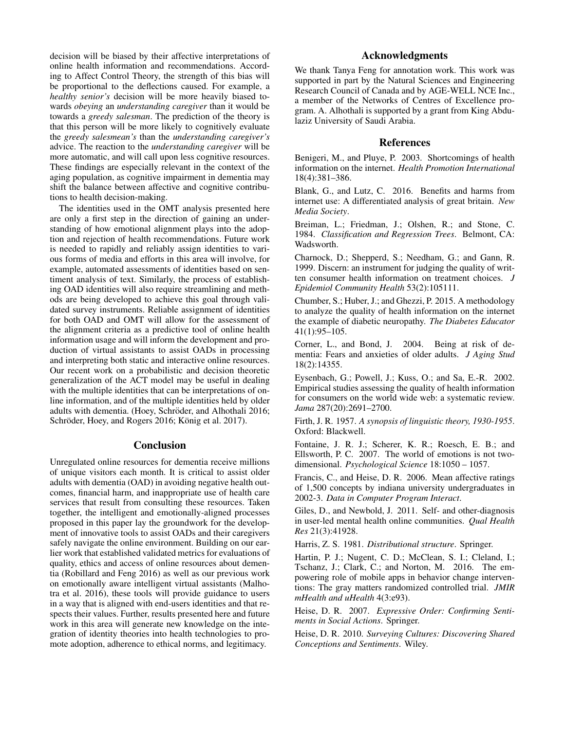decision will be biased by their affective interpretations of online health information and recommendations. According to Affect Control Theory, the strength of this bias will be proportional to the deflections caused. For example, a *healthy senior's* decision will be more heavily biased towards *obeying* an *understanding caregiver* than it would be towards a *greedy salesman*. The prediction of the theory is that this person will be more likely to cognitively evaluate the *greedy salesmean's* than the *understanding caregiver's* advice. The reaction to the *understanding caregiver* will be more automatic, and will call upon less cognitive resources. These findings are especially relevant in the context of the aging population, as cognitive impairment in dementia may shift the balance between affective and cognitive contributions to health decision-making.

The identities used in the OMT analysis presented here are only a first step in the direction of gaining an understanding of how emotional alignment plays into the adoption and rejection of health recommendations. Future work is needed to rapidly and reliably assign identities to various forms of media and efforts in this area will involve, for example, automated assessments of identities based on sentiment analysis of text. Similarly, the process of establishing OAD identities will also require streamlining and methods are being developed to achieve this goal through validated survey instruments. Reliable assignment of identities for both OAD and OMT will allow for the assessment of the alignment criteria as a predictive tool of online health information usage and will inform the development and production of virtual assistants to assist OADs in processing and interpreting both static and interactive online resources. Our recent work on a probabilistic and decision theoretic generalization of the ACT model may be useful in dealing with the multiple identities that can be interpretations of online information, and of the multiple identities held by older adults with dementia. (Hoey, Schröder, and Alhothali 2016; Schröder, Hoey, and Rogers 2016; König et al. 2017).

#### **Conclusion**

Unregulated online resources for dementia receive millions of unique visitors each month. It is critical to assist older adults with dementia (OAD) in avoiding negative health outcomes, financial harm, and inappropriate use of health care services that result from consulting these resources. Taken together, the intelligent and emotionally-aligned processes proposed in this paper lay the groundwork for the development of innovative tools to assist OADs and their caregivers safely navigate the online environment. Building on our earlier work that established validated metrics for evaluations of quality, ethics and access of online resources about dementia (Robillard and Feng 2016) as well as our previous work on emotionally aware intelligent virtual assistants (Malhotra et al. 2016), these tools will provide guidance to users in a way that is aligned with end-users identities and that respects their values. Further, results presented here and future work in this area will generate new knowledge on the integration of identity theories into health technologies to promote adoption, adherence to ethical norms, and legitimacy.

# Acknowledgments

We thank Tanya Feng for annotation work. This work was supported in part by the Natural Sciences and Engineering Research Council of Canada and by AGE-WELL NCE Inc., a member of the Networks of Centres of Excellence program. A. Alhothali is supported by a grant from King Abdulaziz University of Saudi Arabia.

#### References

Benigeri, M., and Pluye, P. 2003. Shortcomings of health information on the internet. *Health Promotion International* 18(4):381–386.

Blank, G., and Lutz, C. 2016. Benefits and harms from internet use: A differentiated analysis of great britain. *New Media Society*.

Breiman, L.; Friedman, J.; Olshen, R.; and Stone, C. 1984. *Classification and Regression Trees*. Belmont, CA: Wadsworth.

Charnock, D.; Shepperd, S.; Needham, G.; and Gann, R. 1999. Discern: an instrument for judging the quality of written consumer health information on treatment choices. *J Epidemiol Community Health* 53(2):105111.

Chumber, S.; Huber, J.; and Ghezzi, P. 2015. A methodology to analyze the quality of health information on the internet the example of diabetic neuropathy. *The Diabetes Educator* 41(1):95–105.

Corner, L., and Bond, J. 2004. Being at risk of dementia: Fears and anxieties of older adults. *J Aging Stud* 18(2):14355.

Eysenbach, G.; Powell, J.; Kuss, O.; and Sa, E.-R. 2002. Empirical studies assessing the quality of health information for consumers on the world wide web: a systematic review. *Jama* 287(20):2691–2700.

Firth, J. R. 1957. *A synopsis of linguistic theory, 1930-1955*. Oxford: Blackwell.

Fontaine, J. R. J.; Scherer, K. R.; Roesch, E. B.; and Ellsworth, P. C. 2007. The world of emotions is not twodimensional. *Psychological Science* 18:1050 – 1057.

Francis, C., and Heise, D. R. 2006. Mean affective ratings of 1,500 concepts by indiana university undergraduates in 2002-3. *Data in Computer Program Interact*.

Giles, D., and Newbold, J. 2011. Self- and other-diagnosis in user-led mental health online communities. *Qual Health Res* 21(3):41928.

Harris, Z. S. 1981. *Distributional structure*. Springer.

Hartin, P. J.; Nugent, C. D.; McClean, S. I.; Cleland, I.; Tschanz, J.; Clark, C.; and Norton, M. 2016. The empowering role of mobile apps in behavior change interventions: The gray matters randomized controlled trial. *JMIR mHealth and uHealth* 4(3:e93).

Heise, D. R. 2007. *Expressive Order: Confirming Sentiments in Social Actions*. Springer.

Heise, D. R. 2010. *Surveying Cultures: Discovering Shared Conceptions and Sentiments*. Wiley.